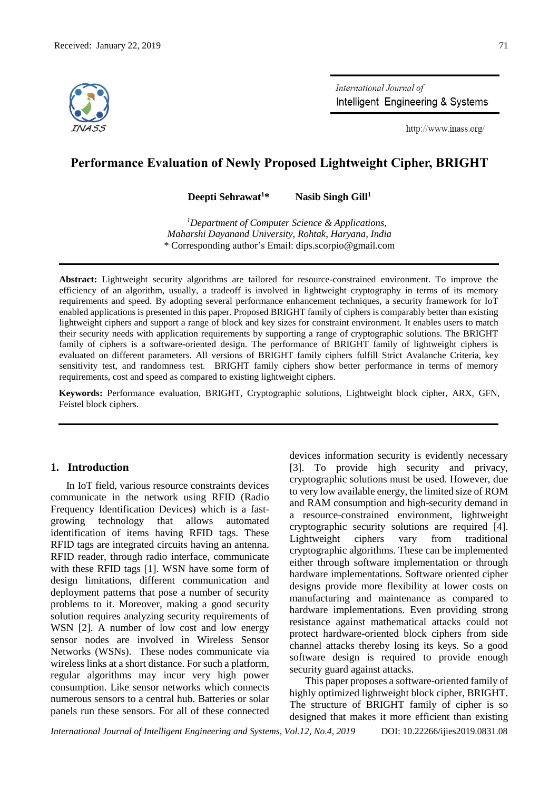

International Journal of Intelligent Engineering & Systems

http://www.inass.org/

# **Performance Evaluation of Newly Proposed Lightweight Cipher, BRIGHT**

**Deepti Sehrawat<sup>1</sup>\* Nasib Singh Gill<sup>1</sup>**

*<sup>1</sup>Department of Computer Science & Applications, Maharshi Dayanand University, Rohtak, Haryana, India* \* Corresponding author's Email: dips.scorpio@gmail.com

**Abstract:** Lightweight security algorithms are tailored for resource-constrained environment. To improve the efficiency of an algorithm, usually, a tradeoff is involved in lightweight cryptography in terms of its memory requirements and speed. By adopting several performance enhancement techniques, a security framework for IoT enabled applications is presented in this paper. Proposed BRIGHT family of ciphers is comparably better than existing lightweight ciphers and support a range of block and key sizes for constraint environment. It enables users to match their security needs with application requirements by supporting a range of cryptographic solutions. The BRIGHT family of ciphers is a software-oriented design. The performance of BRIGHT family of lightweight ciphers is evaluated on different parameters. All versions of BRIGHT family ciphers fulfill Strict Avalanche Criteria, key sensitivity test, and randomness test. BRIGHT family ciphers show better performance in terms of memory requirements, cost and speed as compared to existing lightweight ciphers.

**Keywords:** Performance evaluation, BRIGHT, Cryptographic solutions, Lightweight block cipher, ARX, GFN, Feistel block ciphers.

# **1. Introduction**

In IoT field, various resource constraints devices communicate in the network using RFID (Radio Frequency Identification Devices) which is a fastgrowing technology that allows automated identification of items having RFID tags. These RFID tags are integrated circuits having an antenna. RFID reader, through radio interface, communicate with these RFID tags [1]. WSN have some form of design limitations, different communication and deployment patterns that pose a number of security problems to it. Moreover, making a good security solution requires analyzing security requirements of WSN [2]. A number of low cost and low energy sensor nodes are involved in Wireless Sensor Networks (WSNs). These nodes communicate via wireless links at a short distance. For such a platform, regular algorithms may incur very high power consumption. Like sensor networks which connects numerous sensors to a central hub. Batteries or solar panels run these sensors. For all of these connected devices information security is evidently necessary [3]. To provide high security and privacy, cryptographic solutions must be used. However, due to very low available energy, the limited size of ROM and RAM consumption and high-security demand in a resource-constrained environment, lightweight cryptographic security solutions are required [4]. Lightweight ciphers vary from traditional cryptographic algorithms. These can be implemented either through software implementation or through hardware implementations. Software oriented cipher designs provide more flexibility at lower costs on manufacturing and maintenance as compared to hardware implementations. Even providing strong resistance against mathematical attacks could not protect hardware-oriented block ciphers from side channel attacks thereby losing its keys. So a good software design is required to provide enough security guard against attacks.

This paper proposes a software-oriented family of highly optimized lightweight block cipher, BRIGHT. The structure of BRIGHT family of cipher is so designed that makes it more efficient than existing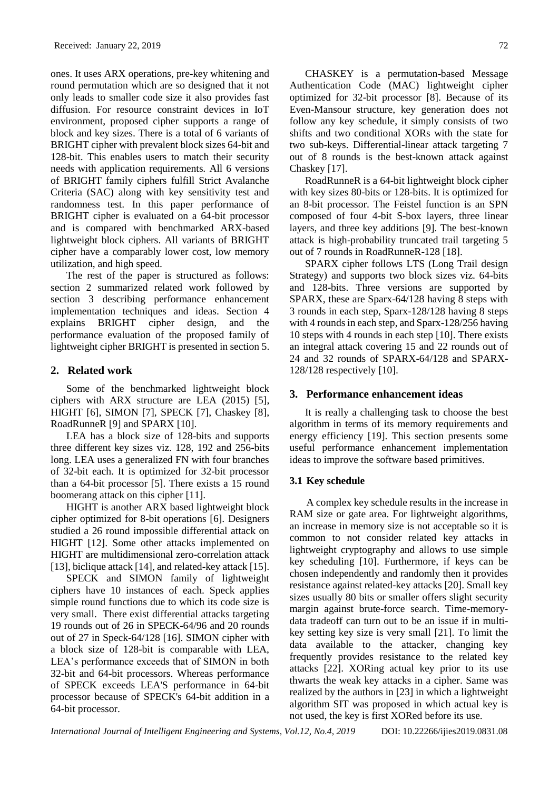ones. It uses ARX operations, pre-key whitening and round permutation which are so designed that it not only leads to smaller code size it also provides fast diffusion. For resource constraint devices in IoT environment, proposed cipher supports a range of block and key sizes. There is a total of 6 variants of BRIGHT cipher with prevalent block sizes 64-bit and 128-bit. This enables users to match their security needs with application requirements. All 6 versions of BRIGHT family ciphers fulfill Strict Avalanche Criteria (SAC) along with key sensitivity test and randomness test. In this paper performance of BRIGHT cipher is evaluated on a 64-bit processor and is compared with benchmarked ARX-based lightweight block ciphers. All variants of BRIGHT cipher have a comparably lower cost, low memory utilization, and high speed.

The rest of the paper is structured as follows: section 2 summarized related work followed by section 3 describing performance enhancement implementation techniques and ideas. Section 4 explains BRIGHT cipher design, and the performance evaluation of the proposed family of lightweight cipher BRIGHT is presented in section 5.

# **2. Related work**

Some of the benchmarked lightweight block ciphers with ARX structure are LEA (2015) [5], HIGHT [6], SIMON [7], SPECK [7], Chaskey [8], RoadRunneR [9] and SPARX [10].

LEA has a block size of 128-bits and supports three different key sizes viz. 128, 192 and 256-bits long. LEA uses a generalized FN with four branches of 32-bit each. It is optimized for 32-bit processor than a 64-bit processor [5]. There exists a 15 round boomerang attack on this cipher [11].

HIGHT is another ARX based lightweight block cipher optimized for 8-bit operations [6]. Designers studied a 26 round impossible differential attack on HIGHT [12]. Some other attacks implemented on HIGHT are multidimensional zero-correlation attack [13], biclique attack [14], and related-key attack [15].

SPECK and SIMON family of lightweight ciphers have 10 instances of each. Speck applies simple round functions due to which its code size is very small. There exist differential attacks targeting 19 rounds out of 26 in SPECK-64/96 and 20 rounds out of 27 in Speck-64/128 [16]. SIMON cipher with a block size of 128-bit is comparable with LEA, LEA's performance exceeds that of SIMON in both 32-bit and 64-bit processors. Whereas performance of SPECK exceeds LEA'S performance in 64-bit processor because of SPECK's 64-bit addition in a 64-bit processor.

CHASKEY is a permutation-based Message Authentication Code (MAC) lightweight cipher optimized for 32-bit processor [8]. Because of its Even-Mansour structure, key generation does not follow any key schedule, it simply consists of two shifts and two conditional XORs with the state for two sub-keys. Differential-linear attack targeting 7 out of 8 rounds is the best-known attack against Chaskey [17].

RoadRunneR is a 64-bit lightweight block cipher with key sizes 80-bits or 128-bits. It is optimized for an 8-bit processor. The Feistel function is an SPN composed of four 4-bit S-box layers, three linear layers, and three key additions [9]. The best-known attack is high-probability truncated trail targeting 5 out of 7 rounds in RoadRunneR-128 [18].

SPARX cipher follows LTS (Long Trail design Strategy) and supports two block sizes viz. 64-bits and 128-bits. Three versions are supported by SPARX, these are Sparx-64/128 having 8 steps with 3 rounds in each step, Sparx-128/128 having 8 steps with 4 rounds in each step, and Sparx-128/256 having 10 steps with 4 rounds in each step [10]. There exists an integral attack covering 15 and 22 rounds out of 24 and 32 rounds of SPARX-64/128 and SPARX-128/128 respectively [10].

# **3. Performance enhancement ideas**

It is really a challenging task to choose the best algorithm in terms of its memory requirements and energy efficiency [19]. This section presents some useful performance enhancement implementation ideas to improve the software based primitives.

## **3.1 Key schedule**

A complex key schedule results in the increase in RAM size or gate area. For lightweight algorithms, an increase in memory size is not acceptable so it is common to not consider related key attacks in lightweight cryptography and allows to use simple key scheduling [10]. Furthermore, if keys can be chosen independently and randomly then it provides resistance against related-key attacks [20]. Small key sizes usually 80 bits or smaller offers slight security margin against brute-force search. Time-memorydata tradeoff can turn out to be an issue if in multikey setting key size is very small [21]. To limit the data available to the attacker, changing key frequently provides resistance to the related key attacks [22]. XORing actual key prior to its use thwarts the weak key attacks in a cipher. Same was realized by the authors in [23] in which a lightweight algorithm SIT was proposed in which actual key is not used, the key is first XORed before its use.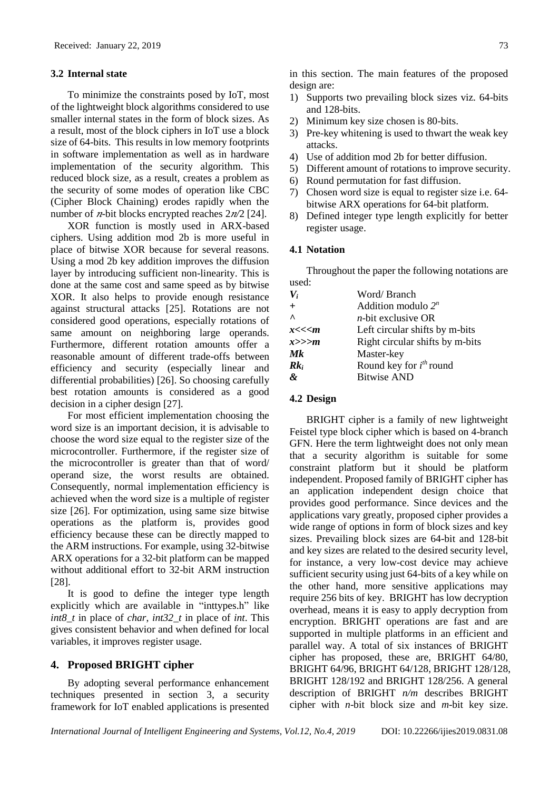#### **3.2 Internal state**

To minimize the constraints posed by IoT, most of the lightweight block algorithms considered to use smaller internal states in the form of block sizes. As a result, most of the block ciphers in IoT use a block size of 64-bits. This results in low memory footprints in software implementation as well as in hardware implementation of the security algorithm. This reduced block size, as a result, creates a problem as the security of some modes of operation like CBC (Cipher Block Chaining) erodes rapidly when the number of  $n$ -bit blocks encrypted reaches  $2n/2$  [24].

XOR function is mostly used in ARX-based ciphers. Using addition mod 2b is more useful in place of bitwise XOR because for several reasons. Using a mod 2b key addition improves the diffusion layer by introducing sufficient non-linearity. This is done at the same cost and same speed as by bitwise XOR. It also helps to provide enough resistance against structural attacks [25]. Rotations are not considered good operations, especially rotations of same amount on neighboring large operands. Furthermore, different rotation amounts offer a reasonable amount of different trade-offs between efficiency and security (especially linear and differential probabilities) [26]. So choosing carefully best rotation amounts is considered as a good decision in a cipher design [27].

For most efficient implementation choosing the word size is an important decision, it is advisable to choose the word size equal to the register size of the microcontroller. Furthermore, if the register size of the microcontroller is greater than that of word/ operand size, the worst results are obtained. Consequently, normal implementation efficiency is achieved when the word size is a multiple of register size [26]. For optimization, using same size bitwise operations as the platform is, provides good efficiency because these can be directly mapped to the ARM instructions. For example, using 32-bitwise ARX operations for a 32-bit platform can be mapped without additional effort to 32-bit ARM instruction [28].

It is good to define the integer type length explicitly which are available in "inttypes.h" like *int8\_t* in place of *char*, *int32\_t* in place of *int*. This gives consistent behavior and when defined for local variables, it improves register usage.

## **4. Proposed BRIGHT cipher**

By adopting several performance enhancement techniques presented in section 3, a security framework for IoT enabled applications is presented in this section. The main features of the proposed design are:

- 1) Supports two prevailing block sizes viz. 64-bits and 128-bits.
- 2) Minimum key size chosen is 80-bits.
- 3) Pre-key whitening is used to thwart the weak key attacks.
- 4) Use of addition mod 2b for better diffusion.
- 5) Different amount of rotations to improve security.
- 6) Round permutation for fast diffusion.
- 7) Chosen word size is equal to register size i.e. 64 bitwise ARX operations for 64-bit platform.
- 8) Defined integer type length explicitly for better register usage.

#### **4.1 Notation**

Throughout the paper the following notations are used:

| $V_i$            | Word/Branch                     |
|------------------|---------------------------------|
| $+$              | Addition modulo $2^n$           |
| $\Lambda$        | $n$ -bit exclusive OR           |
| x<< <sub>m</sub> | Left circular shifts by m-bits  |
| x>>>m            | Right circular shifts by m-bits |
| Mk               | Master-key                      |
| $Rk_i$           | Round key for $i^{th}$ round    |
| &                | <b>Bitwise AND</b>              |

# **4.2 Design**

BRIGHT cipher is a family of new lightweight Feistel type block cipher which is based on 4-branch GFN. Here the term lightweight does not only mean that a security algorithm is suitable for some constraint platform but it should be platform independent. Proposed family of BRIGHT cipher has an application independent design choice that provides good performance. Since devices and the applications vary greatly, proposed cipher provides a wide range of options in form of block sizes and key sizes. Prevailing block sizes are 64-bit and 128-bit and key sizes are related to the desired security level, for instance, a very low-cost device may achieve sufficient security using just 64-bits of a key while on the other hand, more sensitive applications may require 256 bits of key. BRIGHT has low decryption overhead, means it is easy to apply decryption from encryption. BRIGHT operations are fast and are supported in multiple platforms in an efficient and parallel way. A total of six instances of BRIGHT cipher has proposed, these are, BRIGHT 64/80, BRIGHT 64/96, BRIGHT 64/128, BRIGHT 128/128, BRIGHT 128/192 and BRIGHT 128/256. A general description of BRIGHT *n/m* describes BRIGHT cipher with *n*-bit block size and *m*-bit key size.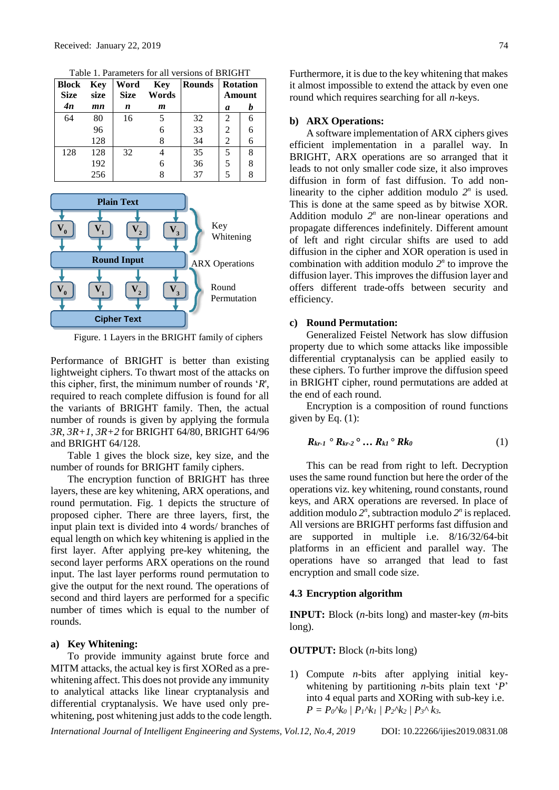| <b>Block</b><br><b>Size</b> | Key<br>size | Word<br><b>Size</b> | Key<br>Words | <b>Rounds</b> | <b>Rotation</b><br>Amount |   |
|-----------------------------|-------------|---------------------|--------------|---------------|---------------------------|---|
| 4n                          | mn          | n                   | m            |               | a                         | h |
| 64                          | 80          | 16                  | 5            | 32            | 2                         | 6 |
|                             | 96          |                     | 6            | 33            | $\mathfrak{D}$            | 6 |
|                             | 128         |                     | 8            | 34            | 2                         | 6 |
| 128                         | 128         | 32                  |              | 35            |                           | 8 |
|                             | 192         |                     | 6            | 36            |                           | 8 |
|                             | 256         |                     |              | 37            |                           |   |

Table 1. Parameters for all versions of BRIGHT



Figure. 1 Layers in the BRIGHT family of ciphers

Performance of BRIGHT is better than existing lightweight ciphers. To thwart most of the attacks on this cipher, first, the minimum number of rounds '*R*', required to reach complete diffusion is found for all the variants of BRIGHT family. Then, the actual number of rounds is given by applying the formula *3R*, *3R+1*, *3R+2* for BRIGHT 64/80, BRIGHT 64/96 and BRIGHT 64/128.

Table 1 gives the block size, key size, and the number of rounds for BRIGHT family ciphers.

The encryption function of BRIGHT has three layers, these are key whitening, ARX operations, and round permutation. Fig. 1 depicts the structure of proposed cipher. There are three layers, first, the input plain text is divided into 4 words/ branches of equal length on which key whitening is applied in the first layer. After applying pre-key whitening, the second layer performs ARX operations on the round input. The last layer performs round permutation to give the output for the next round. The operations of second and third layers are performed for a specific number of times which is equal to the number of rounds.

#### **a) Key Whitening:**

To provide immunity against brute force and MITM attacks, the actual key is first XORed as a prewhitening affect. This does not provide any immunity to analytical attacks like linear cryptanalysis and differential cryptanalysis. We have used only prewhitening, post whitening just adds to the code length. Furthermore, it is due to the key whitening that makes it almost impossible to extend the attack by even one round which requires searching for all *n*-keys.

#### **b) ARX Operations:**

A software implementation of ARX ciphers gives efficient implementation in a parallel way. In BRIGHT, ARX operations are so arranged that it leads to not only smaller code size, it also improves diffusion in form of fast diffusion. To add nonlinearity to the cipher addition modulo  $2^n$  is used. This is done at the same speed as by bitwise XOR. Addition modulo  $2^n$  are non-linear operations and propagate differences indefinitely. Different amount of left and right circular shifts are used to add diffusion in the cipher and XOR operation is used in combination with addition modulo  $2^n$  to improve the diffusion layer. This improves the diffusion layer and offers different trade-offs between security and efficiency.

#### **c) Round Permutation:**

Generalized Feistel Network has slow diffusion property due to which some attacks like impossible differential cryptanalysis can be applied easily to these ciphers. To further improve the diffusion speed in BRIGHT cipher, round permutations are added at the end of each round.

Encryption is a composition of round functions given by Eq.  $(1)$ :

$$
R_{kr-1} \bullet R_{kr-2} \circ \dots R_{k1} \bullet Rk_0 \tag{1}
$$

This can be read from right to left. Decryption uses the same round function but here the order of the operations viz. key whitening, round constants, round keys, and ARX operations are reversed. In place of addition modulo  $2^n$ , subtraction modulo  $2^n$  is replaced. All versions are BRIGHT performs fast diffusion and are supported in multiple i.e. 8/16/32/64-bit platforms in an efficient and parallel way. The operations have so arranged that lead to fast encryption and small code size.

# **4.3 Encryption algorithm**

**INPUT:** Block (*n*-bits long) and master-key (*m*-bits long).

#### **OUTPUT:** Block (*n*-bits long)

1) Compute *n-*bits after applying initial keywhitening by partitioning *n*-bits plain text '*P*' into 4 equal parts and XORing with sub-key i.e.  $P = P_0^{\wedge} k_0 / P_1^{\wedge} k_1 / P_2^{\wedge} k_2 / P_3^{\wedge} k_3$ .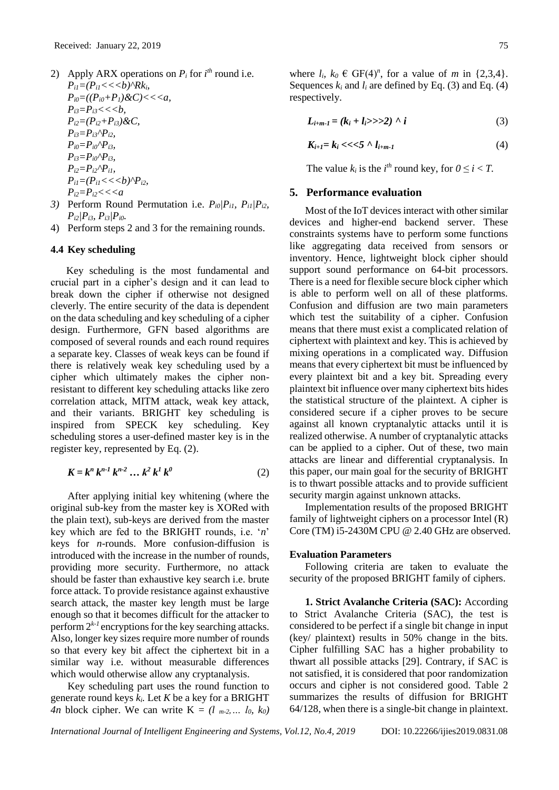- 2) Apply ARX operations on  $P_i$  for  $i^{th}$  round i.e.  $P_{il} = (P_{il} \lt \lt \lt b)^\wedge Rk_i$  $P_{i0} = ((P_{i0} + P_1) \& C) \leq \leq a$ ,  $P_{i3} = P_{i3} \lt \lt \lt b$ ,  $P_{i2} = (P_{i2} + P_{i3}) \& C$  $P_{i3} = P_{i3} \wedge P_{i2}$  $P_{i0} = P_{i0} \cap P_{i3}$  $P_{i3} = P_{i0} \wedge P_{i3}$  $P_{i2} = P_{i2} \wedge P_{i1}$  $P_{il} = (P_{il} \lt \lt b)^{\wedge} P_{il}$ *Pi2=Pi2<<<a*
- *3)* Perform Round Permutation i.e. *Pi0|Pi1, Pi1|Pi2, Pi2|Pi3, Pi3|Pi0.*
- 4) Perform steps 2 and 3 for the remaining rounds.

#### **4.4 Key scheduling**

Key scheduling is the most fundamental and crucial part in a cipher's design and it can lead to break down the cipher if otherwise not designed cleverly. The entire security of the data is dependent on the data scheduling and key scheduling of a cipher design. Furthermore, GFN based algorithms are composed of several rounds and each round requires a separate key. Classes of weak keys can be found if there is relatively weak key scheduling used by a cipher which ultimately makes the cipher nonresistant to different key scheduling attacks like zero correlation attack, MITM attack, weak key attack, and their variants. BRIGHT key scheduling is inspired from SPECK key scheduling. Key scheduling stores a user-defined master key is in the register key, represented by Eq. (2).

$$
K = k^n k^{n-1} k^{n-2} \dots k^2 k^l k^0
$$
 (2)

After applying initial key whitening (where the original sub-key from the master key is XORed with the plain text), sub-keys are derived from the master key which are fed to the BRIGHT rounds, i.e. '*n*' keys for *n-*rounds. More confusion-diffusion is introduced with the increase in the number of rounds, providing more security. Furthermore, no attack should be faster than exhaustive key search i.e. brute force attack. To provide resistance against exhaustive search attack, the master key length must be large enough so that it becomes difficult for the attacker to perform  $2^{k-l}$  encryptions for the key searching attacks. Also, longer key sizes require more number of rounds so that every key bit affect the ciphertext bit in a similar way i.e. without measurable differences which would otherwise allow any cryptanalysis.

Key scheduling part uses the round function to generate round keys *ki.* Let *K* be a key for a BRIGHT *4n* block cipher. We can write  $K = (l_{m-2}, \ldots, l_0, k_0)$ 

where  $l_i$ ,  $k_0 \in \text{GF}(4)^n$ , for a value of *m* in {2,3,4}. Sequences  $k_i$  and  $l_i$  are defined by Eq. (3) and Eq. (4) respectively.

$$
L_{i+m-1} = (k_i + l_i >> 2) \wedge i \tag{3}
$$

$$
K_{i+1} = k_i \ll \ll 5 \wedge l_{i+m-1} \tag{4}
$$

The value  $k_i$  is the  $i^{th}$  round key, for  $0 \le i < T$ .

# **5. Performance evaluation**

Most of the IoT devices interact with other similar devices and higher-end backend server. These constraints systems have to perform some functions like aggregating data received from sensors or inventory. Hence, lightweight block cipher should support sound performance on 64-bit processors. There is a need for flexible secure block cipher which is able to perform well on all of these platforms. Confusion and diffusion are two main parameters which test the suitability of a cipher. Confusion means that there must exist a complicated relation of ciphertext with plaintext and key. This is achieved by mixing operations in a complicated way. Diffusion means that every ciphertext bit must be influenced by every plaintext bit and a key bit. Spreading every plaintext bit influence over many ciphertext bits hides the statistical structure of the plaintext. A cipher is considered secure if a cipher proves to be secure against all known cryptanalytic attacks until it is realized otherwise. A number of cryptanalytic attacks can be applied to a cipher. Out of these, two main attacks are linear and differential cryptanalysis. In this paper, our main goal for the security of BRIGHT is to thwart possible attacks and to provide sufficient security margin against unknown attacks.

Implementation results of the proposed BRIGHT family of lightweight ciphers on a processor Intel (R) Core (TM) i5-2430M CPU @ 2.40 GHz are observed.

#### **Evaluation Parameters**

Following criteria are taken to evaluate the security of the proposed BRIGHT family of ciphers.

**1. Strict Avalanche Criteria (SAC):** According to Strict Avalanche Criteria (SAC), the test is considered to be perfect if a single bit change in input (key/ plaintext) results in 50% change in the bits. Cipher fulfilling SAC has a higher probability to thwart all possible attacks [29]. Contrary, if SAC is not satisfied, it is considered that poor randomization occurs and cipher is not considered good. Table 2 summarizes the results of diffusion for BRIGHT 64/128, when there is a single-bit change in plaintext.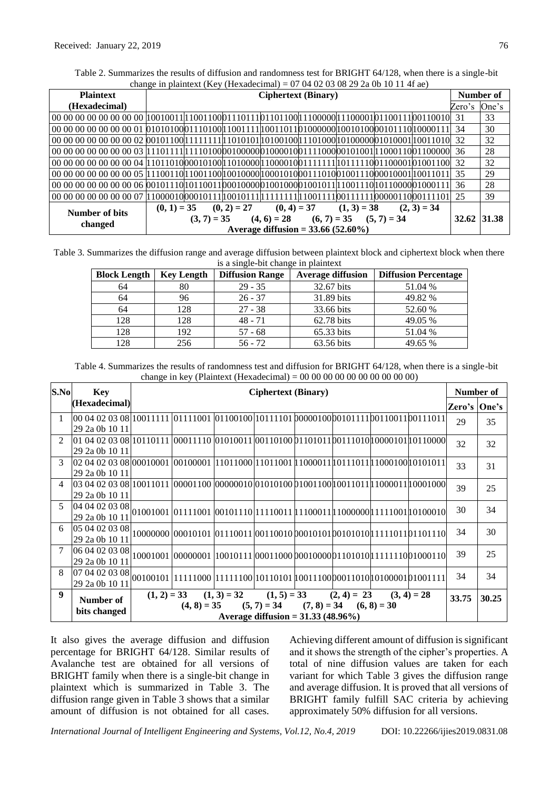Table 2. Summarizes the results of diffusion and randomness test for BRIGHT 64/128, when there is a single-bit change in plaintext (Key (Hexadecimal) =  $07,04,02,03,08,29,2$  a 0b 10 11 4f ae)

| <b>Plaintext</b> | <b>Ciphertext (Binary)</b>                                                                                                           | Number of    |    |
|------------------|--------------------------------------------------------------------------------------------------------------------------------------|--------------|----|
| (Hexadecimal)    |                                                                                                                                      | Zero's One's |    |
|                  |                                                                                                                                      |              | 33 |
|                  |                                                                                                                                      |              | 30 |
|                  | 00 00 00 00 00 00 00 02 00101100 1111111 1 1010101 0100100 11101000 1010000 001010001 $ 1001100 $ 32                                 |              | 32 |
|                  |                                                                                                                                      |              | 28 |
|                  |                                                                                                                                      |              | 32 |
|                  |                                                                                                                                      |              | 29 |
|                  |                                                                                                                                      | 36           | 28 |
|                  | $0000000000000007$   1000010   00010111   10010111   111111   11001111   001111   00101111   001111   0011111   000011   001111   01 |              | 39 |
| Number of bits   | $(0, 4) = 37$ $(1, 3) = 38$<br>$(0, 1) = 35$ $(0, 2) = 27$<br>$(2, 3) = 34$                                                          |              |    |
|                  | $(4, 6) = 28$ $(6, 7) = 35$ $(5, 7) = 34$<br>$(3, 7) = 35$                                                                           | 32.62 31.38  |    |
| changed          | Average diffusion = $33.66 (52.60\%)$                                                                                                |              |    |

Table 3. Summarizes the diffusion range and average diffusion between plaintext block and ciphertext block when there is a single-bit change in plaintext

| <b>Block Length</b> | <b>Key Length</b> | <b>Diffusion Range</b> | <b>Average diffusion</b> | <b>Diffusion Percentage</b> |
|---------------------|-------------------|------------------------|--------------------------|-----------------------------|
| 64                  | 80                | $29 - 35$              | 32.67 bits               | 51.04 %                     |
| 64                  | 96                | $26 - 37$              | 31.89 bits               | 49.82 %                     |
| 64                  | 128               | $27 - 38$              | 33.66 bits               | 52.60 %                     |
| 128                 | 128               | $48 - 71$              | 62.78 bits               | 49.05 %                     |
| 128                 | 192               | $57 - 68$              | 65.33 bits               | 51.04 %                     |
| 128                 | 256               | $56 - 72$              | 63.56 bits               | 49.65 %                     |

Table 4. Summarizes the results of randomness test and diffusion for BRIGHT 64/128, when there is a single-bit change in key (Plaintext (Hexadecimal) =  $00\,00\,00\,00\,00\,00\,00\,00\,00$ )

| S.No             | Key                                                                                                                                                    | <b>Ciphertext (Binary)</b> |                                                                           |                                                         |                                      |  | Number of |               |               |       |
|------------------|--------------------------------------------------------------------------------------------------------------------------------------------------------|----------------------------|---------------------------------------------------------------------------|---------------------------------------------------------|--------------------------------------|--|-----------|---------------|---------------|-------|
|                  | (Hexadecimal)                                                                                                                                          |                            |                                                                           |                                                         |                                      |  |           |               | Zero's  One's |       |
| $\mathbf{1}$     | 00 04 02 03 08  10011111  01111001  01100100  10111101  0000100  0101111  00110011  011                                                                |                            |                                                                           |                                                         |                                      |  |           |               | 29            | 35    |
|                  | 29 2a 0b 10 11                                                                                                                                         |                            |                                                                           |                                                         |                                      |  |           |               |               |       |
| $\mathfrak{D}$   | $[01 04 02 03 08]$ 10110111 $[00011110 01010011 0011010011101011001110000101 0101000]$                                                                 |                            |                                                                           |                                                         |                                      |  |           |               | 32            | 32    |
|                  | 29 2a 0b 10 11                                                                                                                                         |                            |                                                                           |                                                         |                                      |  |           |               |               |       |
| $\mathcal{E}$    | 02 04 02 03 08  00010001   00100001   11011000  11011001  11000011  10111011  11000100  0101011                                                        |                            |                                                                           |                                                         |                                      |  |           |               | 33            | 31    |
|                  | 29 2a 0b 10 11                                                                                                                                         |                            |                                                                           |                                                         |                                      |  |           |               |               |       |
| $\overline{4}$   |                                                                                                                                                        |                            |                                                                           |                                                         |                                      |  |           |               | 39            | 25    |
|                  | 29 2a 0b 10 11                                                                                                                                         |                            |                                                                           |                                                         |                                      |  |           |               |               |       |
| $\mathcal{F}$    | $\Big  04 \, 04 \, 02 \, 03 \, 08 \Big  01001001 \, 01111001 \, 00101110 \Big  11110011 \, 11100011 \Big  11000000 \Big  1111001 \Big  10100010 \Big $ |                            |                                                                           |                                                         |                                      |  |           |               | 30            | 34    |
|                  |                                                                                                                                                        |                            |                                                                           |                                                         |                                      |  |           |               |               |       |
| 6                | $\frac{ 05 04 02 03 08 }{ 0000000 000000 0001010 0110011 00110010 0001010 00101010 1111011 01110 }$                                                    |                            |                                                                           |                                                         |                                      |  |           |               | 34            | 30    |
|                  |                                                                                                                                                        |                            |                                                                           |                                                         |                                      |  |           |               |               |       |
| $\tau$           | 06 04 02 03 08                                                                                                                                         |                            |                                                                           |                                                         |                                      |  |           |               | 39            | 25    |
|                  | 29 2a 0b 10 11                                                                                                                                         |                            |                                                                           |                                                         |                                      |  |           |               |               |       |
| 8                | 07 04 02 03 08                                                                                                                                         |                            |                                                                           |                                                         |                                      |  |           |               | 34            | 34    |
|                  | 29 2a 0b 10 11                                                                                                                                         |                            | $[00100101]$ 11111000 111111100 10110101 10011100 0011010 100001010001111 |                                                         |                                      |  |           |               |               |       |
| $\boldsymbol{Q}$ |                                                                                                                                                        |                            | $(1, 2) = 33$ $(1, 3) = 32$ $(1, 5) = 33$ $(2, 4) = 23$                   |                                                         |                                      |  |           | $(3, 4) = 28$ | 33.75         | 30.25 |
|                  | Number of                                                                                                                                              |                            |                                                                           | $(4, 8) = 35$ $(5, 7) = 34$ $(7, 8) = 34$ $(6, 8) = 30$ |                                      |  |           |               |               |       |
|                  | bits changed                                                                                                                                           |                            |                                                                           |                                                         | Average diffusion = $31.33(48.96\%)$ |  |           |               |               |       |

It also gives the average diffusion and diffusion percentage for BRIGHT 64/128. Similar results of Avalanche test are obtained for all versions of BRIGHT family when there is a single-bit change in plaintext which is summarized in Table 3. The diffusion range given in Table 3 shows that a similar amount of diffusion is not obtained for all cases. Achieving different amount of diffusion is significant and it shows the strength of the cipher's properties. A total of nine diffusion values are taken for each variant for which Table 3 gives the diffusion range and average diffusion. It is proved that all versions of BRIGHT family fulfill SAC criteria by achieving approximately 50% diffusion for all versions.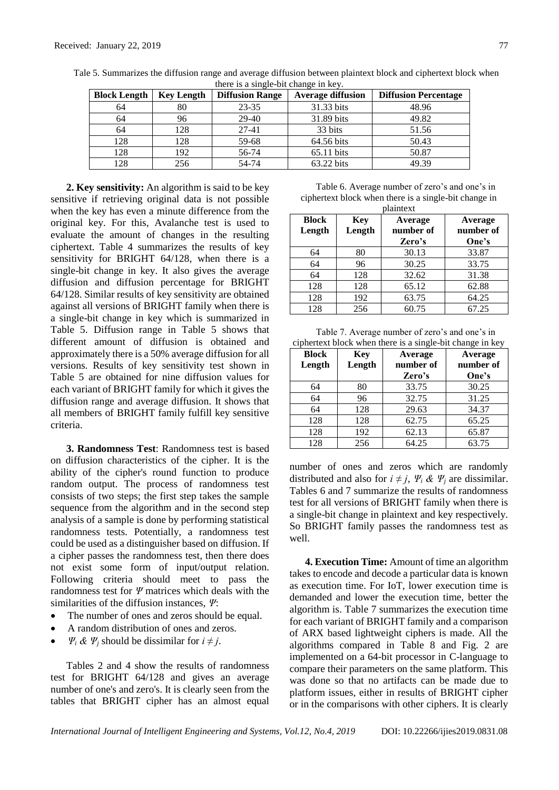| <b>Block Length</b> | <b>Key Length</b> | <b>Diffusion Range</b> | <b>Average diffusion</b> | <b>Diffusion Percentage</b> |
|---------------------|-------------------|------------------------|--------------------------|-----------------------------|
| 64                  | 80                | $23 - 35$              | 31.33 bits               | 48.96                       |
| 64                  | 96                | 29-40                  | 31.89 bits               | 49.82                       |
| 64                  | 128               | $27 - 41$              | 33 bits                  | 51.56                       |
| 128                 | 128               | 59-68                  | 64.56 bits               | 50.43                       |
| 128                 | 192               | 56-74                  | $65.11$ bits             | 50.87                       |
| 128                 | 256               | 54-74                  | 63.22 bits               | 49.39                       |

Tale 5. Summarizes the diffusion range and average diffusion between plaintext block and ciphertext block when there is a single-bit change in key.

**2. Key sensitivity:** An algorithm is said to be key sensitive if retrieving original data is not possible when the key has even a minute difference from the original key. For this, Avalanche test is used to evaluate the amount of changes in the resulting ciphertext. Table 4 summarizes the results of key sensitivity for BRIGHT 64/128, when there is a single-bit change in key. It also gives the average diffusion and diffusion percentage for BRIGHT 64/128. Similar results of key sensitivity are obtained against all versions of BRIGHT family when there is a single-bit change in key which is summarized in Table 5. Diffusion range in Table 5 shows that different amount of diffusion is obtained and approximately there is a 50% average diffusion for all versions. Results of key sensitivity test shown in Table 5 are obtained for nine diffusion values for each variant of BRIGHT family for which it gives the diffusion range and average diffusion. It shows that all members of BRIGHT family fulfill key sensitive criteria.

**3. Randomness Test**: Randomness test is based on diffusion characteristics of the cipher. It is the ability of the cipher's round function to produce random output. The process of randomness test consists of two steps; the first step takes the sample sequence from the algorithm and in the second step analysis of a sample is done by performing statistical randomness tests. Potentially, a randomness test could be used as a distinguisher based on diffusion. If a cipher passes the randomness test, then there does not exist some form of input/output relation. Following criteria should meet to pass the randomness test for *Ψ* matrices which deals with the similarities of the diffusion instances, *Ψ*:

- The number of ones and zeros should be equal.
- A random distribution of ones and zeros.
- $\Psi_i \& \Psi_j$  should be dissimilar for  $i \neq j$ .

Tables 2 and 4 show the results of randomness test for BRIGHT 64/128 and gives an average number of one's and zero's. It is clearly seen from the tables that BRIGHT cipher has an almost equal

| Table 6. Average number of zero's and one's in        |
|-------------------------------------------------------|
| ciphertext block when there is a single-bit change in |
| nlointovt                                             |

| plaintext              |               |                                |                               |  |  |  |  |
|------------------------|---------------|--------------------------------|-------------------------------|--|--|--|--|
| <b>Block</b><br>Length | Key<br>Length | Average<br>number of<br>Zero's | Average<br>number of<br>One's |  |  |  |  |
| 64                     | 80            | 30.13                          | 33.87                         |  |  |  |  |
| 64                     | 96            | 30.25                          | 33.75                         |  |  |  |  |
| 64                     | 128           | 32.62                          | 31.38                         |  |  |  |  |
| 128                    | 128           | 65.12                          | 62.88                         |  |  |  |  |
| 128                    | 192           | 63.75                          | 64.25                         |  |  |  |  |
| 128                    | 256           | 60.75                          | 67.25                         |  |  |  |  |

Table 7. Average number of zero's and one's in ciphertext block when there is a single-bit change in key

| <b>Block</b><br>Length | Key<br>Length | Average<br>number of<br>Zero's | Average<br>number of<br>One's |
|------------------------|---------------|--------------------------------|-------------------------------|
| 64                     | 80            | 33.75                          | 30.25                         |
| 64                     | 96            | 32.75                          | 31.25                         |
| 64                     | 128           | 29.63                          | 34.37                         |
| 128                    | 128           | 62.75                          | 65.25                         |
| 128                    | 192           | 62.13                          | 65.87                         |
| 128                    | 256           | 64.25                          | 63.75                         |

number of ones and zeros which are randomly distributed and also for  $i \neq j$ ,  $\Psi_i \& \Psi_j$  are dissimilar. Tables 6 and 7 summarize the results of randomness test for all versions of BRIGHT family when there is a single-bit change in plaintext and key respectively. So BRIGHT family passes the randomness test as well.

**4. Execution Time:** Amount of time an algorithm takes to encode and decode a particular data is known as execution time. For IoT, lower execution time is demanded and lower the execution time, better the algorithm is. Table 7 summarizes the execution time for each variant of BRIGHT family and a comparison of ARX based lightweight ciphers is made. All the algorithms compared in Table 8 and Fig. 2 are implemented on a 64-bit processor in C-language to compare their parameters on the same platform. This was done so that no artifacts can be made due to platform issues, either in results of BRIGHT cipher or in the comparisons with other ciphers. It is clearly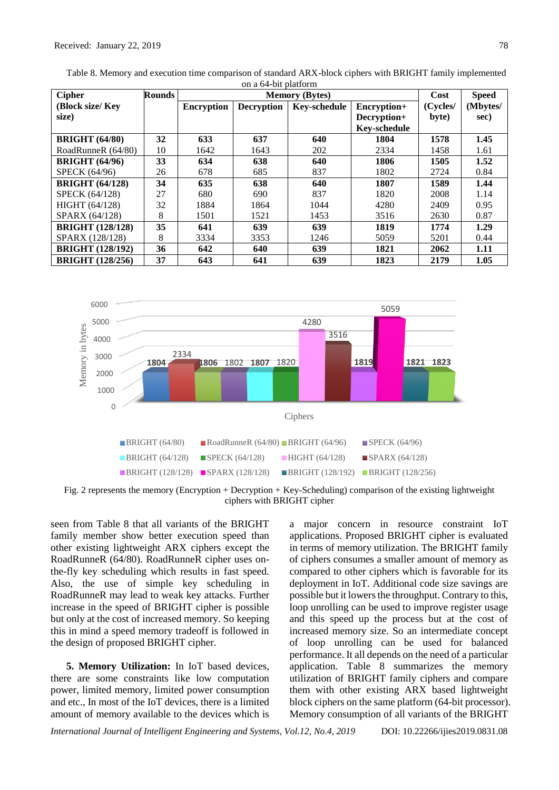| <b>Cipher</b>           | <b>Rounds</b> |                   | <b>Memory (Bytes)</b> |                     |                     |          |          |  |  |
|-------------------------|---------------|-------------------|-----------------------|---------------------|---------------------|----------|----------|--|--|
| (Block size/Key         |               | <b>Encryption</b> | <b>Decryption</b>     | <b>Key-schedule</b> | Encryption+         | (Cycles/ | (Mbytes/ |  |  |
| size)                   |               |                   |                       |                     | Decryption+         | byte)    | sec)     |  |  |
|                         |               |                   |                       |                     | <b>Key-schedule</b> |          |          |  |  |
| <b>BRIGHT</b> (64/80)   | 32            | 633               | 637                   | 640                 | 1804                | 1578     | 1.45     |  |  |
| RoadRunneR (64/80)      | 10            | 1642              | 1643                  | 202                 | 2334                | 1458     | 1.61     |  |  |
| <b>BRIGHT</b> (64/96)   | 33            | 634               | 638                   | 640                 | 1806                | 1505     | 1.52     |  |  |
| <b>SPECK</b> (64/96)    | 26            | 678               | 685                   | 837                 | 1802                | 2724     | 0.84     |  |  |
| <b>BRIGHT</b> (64/128)  | 34            | 635               | 638                   | 640                 | 1807                | 1589     | 1.44     |  |  |
| <b>SPECK (64/128)</b>   | 27            | 680               | 690                   | 837                 | 1820                | 2008     | 1.14     |  |  |
| <b>HIGHT</b> (64/128)   | 32            | 1884              | 1864                  | 1044                | 4280                | 2409     | 0.95     |  |  |
| SPARX (64/128)          | 8             | 1501              | 1521                  | 1453                | 3516                | 2630     | 0.87     |  |  |
| <b>BRIGHT (128/128)</b> | 35            | 641               | 639                   | 639                 | 1819                | 1774     | 1.29     |  |  |
| SPARX (128/128)         | 8             | 3334              | 3353                  | 1246                | 5059                | 5201     | 0.44     |  |  |
| <b>BRIGHT (128/192)</b> | 36            | 642               | 640                   | 639                 | 1821                | 2062     | 1.11     |  |  |
| <b>BRIGHT</b> (128/256) | 37            | 643               | 641                   | 639                 | 1823                | 2179     | 1.05     |  |  |

Table 8. Memory and execution time comparison of standard ARX-block ciphers with BRIGHT family implemented on a 64-bit platform



Fig. 2 represents the memory (Encryption + Decryption + Key-Scheduling) comparison of the existing lightweight ciphers with BRIGHT cipher

seen from Table 8 that all variants of the BRIGHT family member show better execution speed than other existing lightweight ARX ciphers except the RoadRunneR (64/80). RoadRunneR cipher uses onthe-fly key scheduling which results in fast speed. Also, the use of simple key scheduling in RoadRunneR may lead to weak key attacks. Further increase in the speed of BRIGHT cipher is possible but only at the cost of increased memory. So keeping this in mind a speed memory tradeoff is followed in the design of proposed BRIGHT cipher.

**5. Memory Utilization:** In IoT based devices, there are some constraints like low computation power, limited memory, limited power consumption and etc., In most of the IoT devices, there is a limited amount of memory available to the devices which is a major concern in resource constraint IoT applications. Proposed BRIGHT cipher is evaluated in terms of memory utilization. The BRIGHT family of ciphers consumes a smaller amount of memory as compared to other ciphers which is favorable for its deployment in IoT. Additional code size savings are possible but it lowers the throughput. Contrary to this, loop unrolling can be used to improve register usage and this speed up the process but at the cost of increased memory size. So an intermediate concept of loop unrolling can be used for balanced performance. It all depends on the need of a particular application. Table 8 summarizes the memory utilization of BRIGHT family ciphers and compare them with other existing ARX based lightweight block ciphers on the same platform (64-bit processor). Memory consumption of all variants of the BRIGHT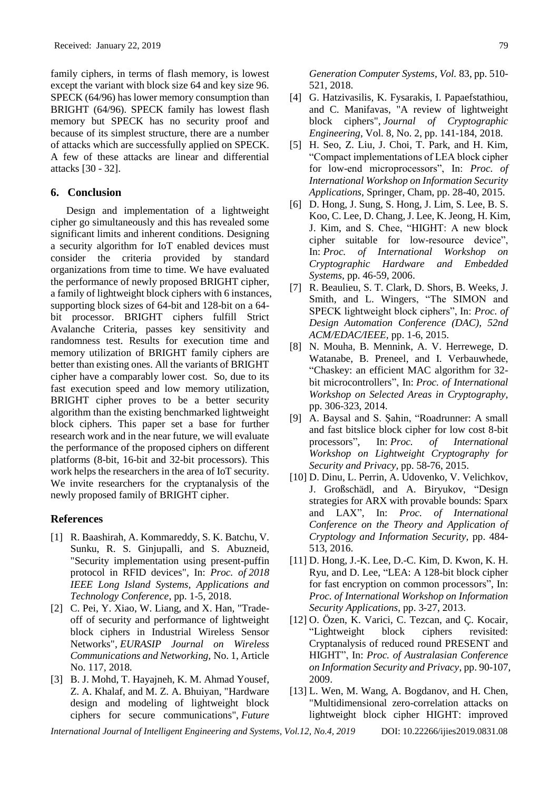family ciphers, in terms of flash memory, is lowest except the variant with block size 64 and key size 96. SPECK (64/96) has lower memory consumption than BRIGHT (64/96). SPECK family has lowest flash memory but SPECK has no security proof and because of its simplest structure, there are a number of attacks which are successfully applied on SPECK. A few of these attacks are linear and differential attacks [30 - 32].

### **6. Conclusion**

Design and implementation of a lightweight cipher go simultaneously and this has revealed some significant limits and inherent conditions. Designing a security algorithm for IoT enabled devices must consider the criteria provided by standard organizations from time to time. We have evaluated the performance of newly proposed BRIGHT cipher, a family of lightweight block ciphers with 6 instances, supporting block sizes of 64-bit and 128-bit on a 64 bit processor. BRIGHT ciphers fulfill Strict Avalanche Criteria, passes key sensitivity and randomness test. Results for execution time and memory utilization of BRIGHT family ciphers are better than existing ones. All the variants of BRIGHT cipher have a comparably lower cost. So, due to its fast execution speed and low memory utilization, BRIGHT cipher proves to be a better security algorithm than the existing benchmarked lightweight block ciphers. This paper set a base for further research work and in the near future, we will evaluate the performance of the proposed ciphers on different platforms (8-bit, 16-bit and 32-bit processors). This work helps the researchers in the area of IoT security. We invite researchers for the cryptanalysis of the newly proposed family of BRIGHT cipher.

## **References**

- [1] R. Baashirah, A. Kommareddy, S. K. Batchu, V. Sunku, R. S. Ginjupalli, and S. Abuzneid, "Security implementation using present-puffin protocol in RFID devices", In: *Proc. of 2018 IEEE Long Island Systems, Applications and Technology Conference*, pp. 1-5, 2018.
- [2] C. Pei, Y. Xiao, W. Liang, and X. Han, "Tradeoff of security and performance of lightweight block ciphers in Industrial Wireless Sensor Networks", *EURASIP Journal on Wireless Communications and Networking,* No. 1, Article No. 117, 2018.
- [3] B. J. Mohd, T. Hayajneh, K. M. Ahmad Yousef, Z. A. Khalaf, and M. Z. A. Bhuiyan, "Hardware design and modeling of lightweight block ciphers for secure communications", *Future*
- [4] G. Hatzivasilis, K. Fysarakis, I. Papaefstathiou, and C. Manifavas, "A review of lightweight block ciphers", *Journal of Cryptographic Engineering*, Vol. 8, No. 2, pp. 141-184, 2018.
- [5] H. Seo, Z. Liu, J. Choi, T. Park, and H. Kim, "Compact implementations of LEA block cipher for low-end microprocessors", In: *Proc. of International Workshop on Information Security Applications,* Springer, Cham, pp. 28-40, 2015.
- [6] D. Hong, J. Sung, S. Hong, J. Lim, S. Lee, B. S. Koo, C. Lee, D. Chang, J. Lee, K. Jeong, H. Kim, J. Kim, and S. Chee, "HIGHT: A new block cipher suitable for low-resource device", In: *Proc. of International Workshop on Cryptographic Hardware and Embedded Systems,* pp. 46-59, 2006.
- [7] R. Beaulieu, S. T. Clark, D. Shors, B. Weeks, J. Smith, and L. Wingers, "The SIMON and SPECK lightweight block ciphers", In: *Proc. of Design Automation Conference (DAC), 52nd ACM/EDAC/IEEE,* pp. 1-6, 2015.
- [8] N. Mouha, B. Mennink, A. V. Herrewege, D. Watanabe, B. Preneel, and I. Verbauwhede, "Chaskey: an efficient MAC algorithm for 32 bit microcontrollers", In: *Proc. of International Workshop on Selected Areas in Cryptography,*  pp. 306-323, 2014.
- [9] A. Baysal and S. Şahin, "Roadrunner: A small and fast bitslice block cipher for low cost 8-bit processors", In: *Proc. of International Workshop on Lightweight Cryptography for Security and Privacy,* pp. 58-76, 2015.
- [10] D. Dinu, L. Perrin, A. Udovenko, V. Velichkov, J. Großschädl, and A. Biryukov, "Design strategies for ARX with provable bounds: Sparx and LAX", In: *Proc. of International Conference on the Theory and Application of Cryptology and Information Security,* pp. 484- 513, 2016.
- [11] D. Hong, J.-K. Lee, D.-C. Kim, D. Kwon, K. H. Ryu, and D. Lee, "LEA: A 128-bit block cipher for fast encryption on common processors", In: *Proc. of International Workshop on Information Security Applications*, pp. 3-27, 2013.
- [12] O. Özen, K. Varici, C. Tezcan, and Ç. Kocair, "Lightweight block ciphers revisited: Cryptanalysis of reduced round PRESENT and HIGHT", In: *Proc. of Australasian Conference on Information Security and Privacy*, pp. 90-107, 2009.
- [13] L. Wen, M. Wang, A. Bogdanov, and H. Chen, "Multidimensional zero-correlation attacks on lightweight block cipher HIGHT: improved